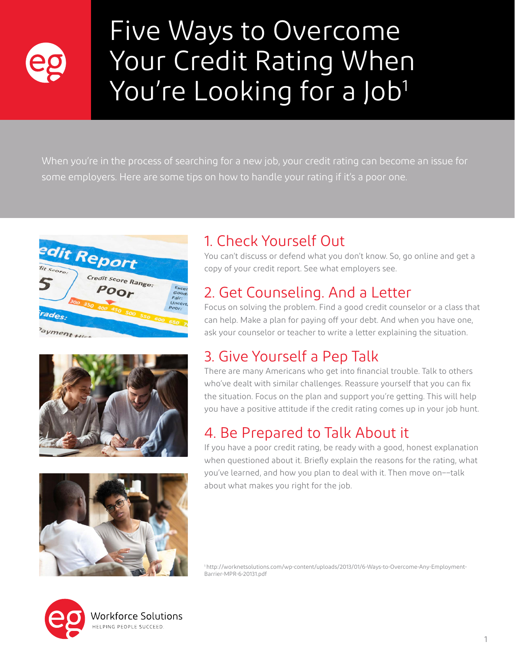

# Five Ways to Overcome Your Credit Rating When You're Looking for a Job<sup>1</sup>

When you're in the process of searching for a new job, your credit rating can become an issue for some employers. Here are some tips on how to handle your rating if it's a poor one.







## 1. Check Yourself Out

You can't discuss or defend what you don't know. So, go online and get a copy of your credit report. See what employers see.

#### 2. Get Counseling. And a Letter

Focus on solving the problem. Find a good credit counselor or a class that can help. Make a plan for paying off your debt. And when you have one, ask your counselor or teacher to write a letter explaining the situation.

#### 3. Give Yourself a Pep Talk

There are many Americans who get into financial trouble. Talk to others who've dealt with similar challenges. Reassure yourself that you can fix the situation. Focus on the plan and support you're getting. This will help you have a positive attitude if the credit rating comes up in your job hunt.

#### 4. Be Prepared to Talk About it

If you have a poor credit rating, be ready with a good, honest explanation when questioned about it. Briefly explain the reasons for the rating, what you've learned, and how you plan to deal with it. Then move on––talk about what makes you right for the job.

1 http://worknetsolutions.com/wp-content/uploads/2013/01/6-Ways-to-Overcome-Any-Employment-Barrier-MPR-6-20131.pdf



Vorkforce Solutions